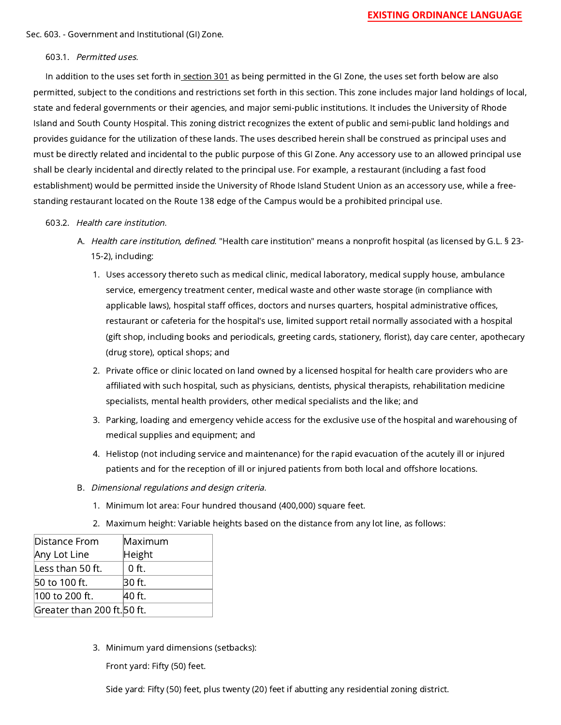Sec. 603. - Government and Institutional (GI) Zone.

## 603.1. Permitted uses.

In addition to the uses set forth in [section 301](https://library.municode.com/) as being permitted in the GI Zone, the uses set forth below are also permitted, subject to the conditions and restrictions set forth in this section. This zone includes major land holdings of local, state and federal governments or their agencies, and major semi-public institutions. It includes the University of Rhode Island and South County Hospital. This zoning district recognizes the extent of public and semi-public land holdings and provides guidance for the utilization of these lands. The uses described herein shall be construed as principal uses and must be directly related and incidental to the public purpose of this GI Zone. Any accessory use to an allowed principal use shall be clearly incidental and directly related to the principal use. For example, a restaurant (including a fast food establishment) would be permitted inside the University of Rhode Island Student Union as an accessory use, while a freestanding restaurant located on the Route 138 edge of the Campus would be a prohibited principal use.

## 603.2. Health care institution.

- A. *Health care institution, defined.* "Health care institution" means a nonprofit hospital (as licensed by G.L. § 23-15-2), including:
	- 1. Uses accessory thereto such as medical clinic, medical laboratory, medical supply house, ambulance service, emergency treatment center, medical waste and other waste storage (in compliance with applicable laws), hospital staff offices, doctors and nurses quarters, hospital administrative offices, restaurant or cafeteria for the hospital's use, limited support retail normally associated with a hospital (gift shop, including books and periodicals, greeting cards, stationery, florist), day care center, apothecary (drug store), optical shops; and
	- 2. Private office or clinic located on land owned by a licensed hospital for health care providers who are affiliated with such hospital, such as physicians, dentists, physical therapists, rehabilitation medicine specialists, mental health providers, other medical specialists and the like; and
	- 3. Parking, loading and emergency vehicle access for the exclusive use of the hospital and warehousing of medical supplies and equipment; and
	- 4. Helistop (not including service and maintenance) for the rapid evacuation of the acutely ill or injured patients and for the reception of ill or injured patients from both local and offshore locations.
- B. Dimensional regulations and design criteria.
	- 1. Minimum lot area: Four hundred thousand (400,000) square feet.
	- 2. Maximum height: Variable heights based on the distance from any lot line, as follows:

| Distance From               | Maximum |
|-----------------------------|---------|
| Any Lot Line                | Height  |
| Less than 50 ft.            | $0$ ft. |
| 50 to 100 ft.               | 30 ft.  |
| 100 to 200 ft.              | 40 ft.  |
| Greater than 200 ft. 50 ft. |         |

3. Minimum yard dimensions (setbacks):

Front yard: Fifty (50) feet.

Side yard: Fifty (50) feet, plus twenty (20) feet if abutting any residential zoning district.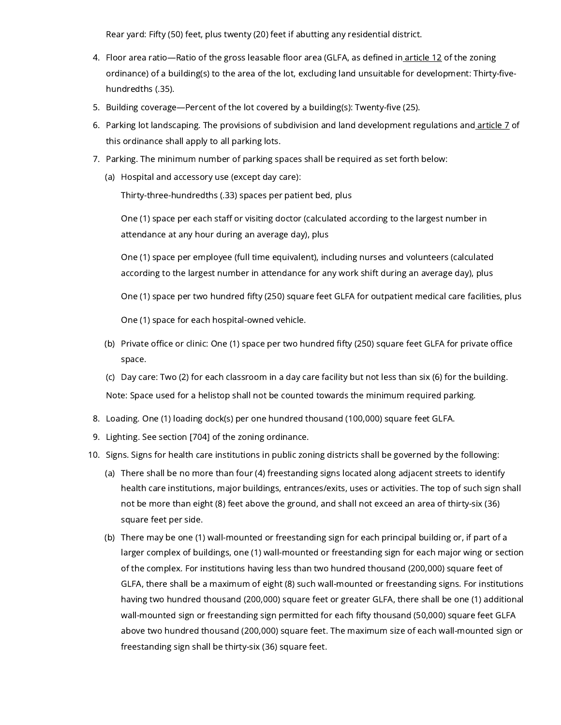Rear yard: Fifty (50) feet, plus twenty (20) feet if abutting any residential district.

- 4. Floor area ratio—Ratio of the gross leasable floor area (GLFA, as defined in<u> [article](https://library.municode.com/) 12</u> of the zoning ordinance) of a building(s) to the area of the lot, excluding land unsuitable for development: Thirty-fivehundredths (.35).
- 5. Building coverage—Percent of the lot covered by a building(s): Twenty-five (25).
- 6. Parking lot landscaping. The provisions of subdivision and land development regulations and <u>[article](https://library.municode.com/) 7</u> of this ordinance shall apply to all parking lots.
- 7. Parking. The minimum number of parking spaces shall be required as set forth below:
	- (a) Hospital and accessory use (except day care):

Thirty-three-hundredths (.33) spaces per patient bed, plus

One (1) space per each staff or visiting doctor (calculated according to the largest number in attendance at any hour during an average day), plus

One (1) space per employee (full time equivalent), including nurses and volunteers (calculated according to the largest number in attendance for any work shift during an average day), plus

One (1) space per two hundred fifty (250) square feet GLFA for outpatient medical care facilities, plus

One (1) space for each hospital-owned vehicle.

(b) Private office or clinic: One (1) space per two hundred fifty (250) square feet GLFA for private office space.

(c) Day care: Two (2) for each classroom in a day care facility but not less than six (6) for the building. Note: Space used for a helistop shall not be counted towards the minimum required parking.

- 8. Loading. One (1) loading dock(s) per one hundred thousand (100,000) square feet GLFA.
- 9. Lighting. See section [704] of the zoning ordinance.
- 10. Signs. Signs for health care institutions in public zoning districts shall be governed by the following:
	- (a) There shall be no more than four (4) freestanding signs located along adjacent streets to identify health care institutions, major buildings, entrances/exits, uses or activities. The top of such sign shall not be more than eight (8) feet above the ground, and shall not exceed an area of thirty-six (36) square feet per side.
	- (b) There may be one (1) wall-mounted or freestanding sign for each principal building or, if part of a larger complex of buildings, one (1) wall-mounted or freestanding sign for each major wing or section of the complex. For institutions having less than two hundred thousand (200,000) square feet of GLFA, there shall be a maximum of eight (8) such wall-mounted or freestanding signs. For institutions having two hundred thousand (200,000) square feet or greater GLFA, there shall be one (1) additional wall-mounted sign or freestanding sign permitted for each fifty thousand (50,000) square feet GLFA above two hundred thousand (200,000) square feet. The maximum size of each wall-mounted sign or freestanding sign shall be thirty-six (36) square feet.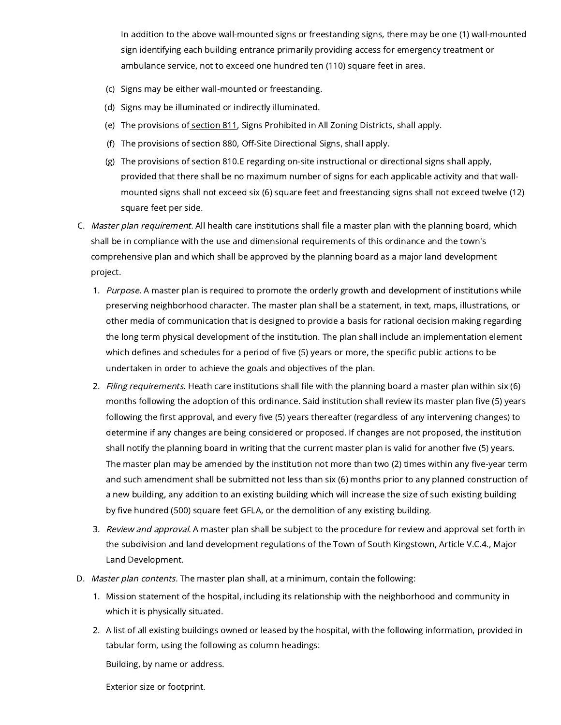In addition to the above wall-mounted signs or freestanding signs, there may be one (1) wall-mounted sign identifying each building entrance primarily providing access for emergency treatment or ambulance service, not to exceed one hundred ten (110) square feet in area.

- (c) Signs may be either wall-mounted or freestanding.
- (d) Signs may be illuminated or indirectly illuminated.
- (e) The provisions of <u>[section](https://library.municode.com/) 811</u>, Signs Prohibited in All Zoning Districts, shall apply.
- (f) The provisions of section 880, Off-Site Directional Signs, shall apply.
- (g) The provisions of section 810.E regarding on-site instructional or directional signs shall apply, provided that there shall be no maximum number of signs for each applicable activity and that wallmounted signs shall not exceed six (6) square feet and freestanding signs shall not exceed twelve (12) square feet per side.
- C. *Master plan requirement.* All health care institutions shall file a master plan with the planning board, which shall be in compliance with the use and dimensional requirements of this ordinance and the town's comprehensive plan and which shall be approved by the planning board as a major land development project.
	- 1. *Purpose*. A master plan is required to promote the orderly growth and development of institutions while preserving neighborhood character. The master plan shall be a statement, in text, maps, illustrations, or other media of communication that is designed to provide a basis for rational decision making regarding the long term physical development of the institution. The plan shall include an implementation element which defines and schedules for a period of five (5) years or more, the specific public actions to be undertaken in order to achieve the goals and objectives of the plan.
	- 2. *Filing requirements.* Heath care institutions shall file with the planning board a master plan within six (6) months following the adoption of this ordinance. Said institution shall review its master plan five (5) years following the first approval, and every five (5) years thereafter (regardless of any intervening changes) to determine if any changes are being considered or proposed. If changes are not proposed, the institution shall notify the planning board in writing that the current master plan is valid for another five (5) years. The master plan may be amended by the institution not more than two (2) times within any five-year term and such amendment shall be submitted not less than six (6) months prior to any planned construction of a new building, any addition to an existing building which will increase the size of such existing building by five hundred (500) square feet GFLA, or the demolition of any existing building.
	- 3. *Review and approval.* A master plan shall be subject to the procedure for review and approval set forth in the subdivision and land development regulations of the Town of South Kingstown, Article V.C.4., Major Land Development.
- D. Master plan contents. The master plan shall, at a minimum, contain the following:
	- 1. Mission statement of the hospital, including its relationship with the neighborhood and community in which it is physically situated.
	- 2. A list of all existing buildings owned or leased by the hospital, with the following information, provided in tabular form, using the following as column headings:

Building, by name or address.

Exterior size or footprint.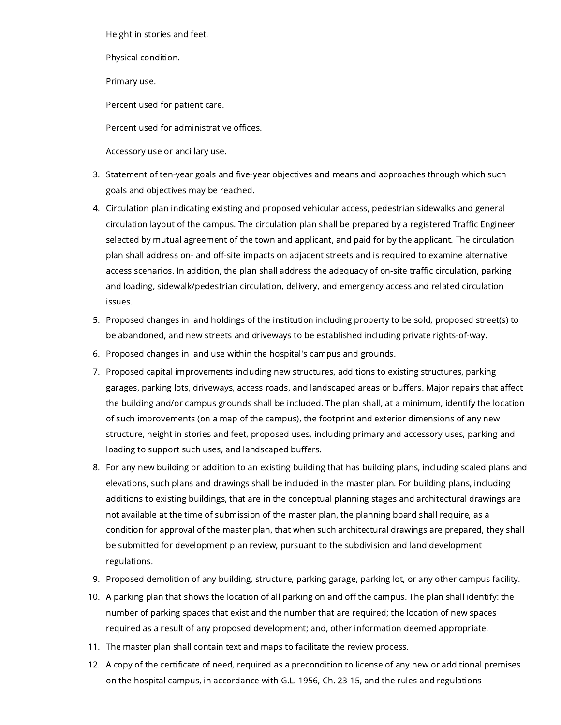Height in stories and feet.

Physical condition.

Primary use.

Percent used for patient care.

Percent used for administrative offices.

Accessory use or ancillary use.

- 3. Statement of ten-year goals and five-year objectives and means and approaches through which such goals and objectives may be reached.
- 4. Circulation plan indicating existing and proposed vehicular access, pedestrian sidewalks and general circulation layout of the campus. The circulation plan shall be prepared by a registered Traffic Engineer selected by mutual agreement of the town and applicant, and paid for by the applicant. The circulation plan shall address on- and off-site impacts on adjacent streets and is required to examine alternative access scenarios. In addition, the plan shall address the adequacy of on-site traffic circulation, parking and loading, sidewalk/pedestrian circulation, delivery, and emergency access and related circulation issues.
- 5. Proposed changes in land holdings of the institution including property to be sold, proposed street(s) to be abandoned, and new streets and driveways to be established including private rights-of-way.
- 6. Proposed changes in land use within the hospital's campus and grounds.
- 7. Proposed capital improvements including new structures, additions to existing structures, parking garages, parking lots, driveways, access roads, and landscaped areas or buffers. Major repairs that affect the building and/or campus grounds shall be included. The plan shall, at a minimum, identify the location of such improvements (on a map of the campus), the footprint and exterior dimensions of any new structure, height in stories and feet, proposed uses, including primary and accessory uses, parking and loading to support such uses, and landscaped buffers.
- 8. For any new building or addition to an existing building that has building plans, including scaled plans and elevations, such plans and drawings shall be included in the master plan. For building plans, including additions to existing buildings, that are in the conceptual planning stages and architectural drawings are not available at the time of submission of the master plan, the planning board shall require, as a condition for approval of the master plan, that when such architectural drawings are prepared, they shall be submitted for development plan review, pursuant to the subdivision and land development regulations.
- 9. Proposed demolition of any building, structure, parking garage, parking lot, or any other campus facility.
- 10. A parking plan that shows the location of all parking on and off the campus. The plan shall identify: the number of parking spaces that exist and the number that are required; the location of new spaces required as a result of any proposed development; and, other information deemed appropriate.
- 11. The master plan shall contain text and maps to facilitate the review process.
- 12. A copy of the certificate of need, required as a precondition to license of any new or additional premises on the hospital campus, in accordance with G.L. 1956, Ch. 23-15, and the rules and regulations